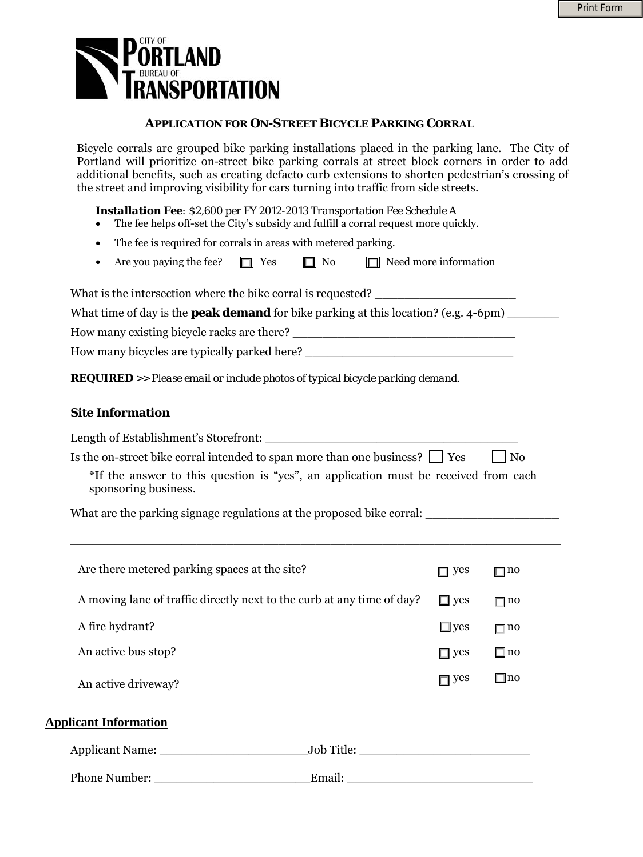

### **APPLICATION FOR ON-STREET BICYCLE PARKING CORRAL**

Bicycle corrals are grouped bike parking installations placed in the parking lane. The City of Portland will prioritize on-street bike parking corrals at street block corners in order to add additional benefits, such as creating defacto curb extensions to shorten pedestrian's crossing of the street and improving visibility for cars turning into traffic from side streets.

*Installation Fee: \$2,600 per FY 2012-2013 Transportation Fee Schedule A* 

- The fee helps off-set the City's subsidy and fulfill a corral request more quickly.
- The fee is required for corrals in areas with metered parking.
- Are you paying the fee?  $\Box$  Yes  $\Box$  No  $\Box$  Need more information

What is the intersection where the bike corral is requested?

What time of day is the **peak demand** for bike parking at this location? (e.g. 4-6pm)

How many existing bicycle racks are there?

How many bicycles are typically parked here?

*REQUIRED >> Please email or include photos of typical bicycle parking demand.* 

#### **Site Information**

|                                                                                                             | Is the on-street bike corral intended to span more than one business? $\Box$ Yes                     |            | N <sub>0</sub> |  |  |  |
|-------------------------------------------------------------------------------------------------------------|------------------------------------------------------------------------------------------------------|------------|----------------|--|--|--|
| *If the answer to this question is "yes", an application must be received from each<br>sponsoring business. |                                                                                                      |            |                |  |  |  |
|                                                                                                             | What are the parking signage regulations at the proposed bike corral: ______________________________ |            |                |  |  |  |
| Are there metered parking spaces at the site?                                                               |                                                                                                      | $\Box$ yes | $\Box$ no      |  |  |  |
| A moving lane of traffic directly next to the curb at any time of day?                                      |                                                                                                      | $\Box$ yes | $\Box$ no      |  |  |  |
| A fire hydrant?                                                                                             |                                                                                                      | $\Box$ yes | $\Box$ 110     |  |  |  |
| An active bus stop?                                                                                         |                                                                                                      | $\Box$ yes | $\Box$ no      |  |  |  |
| An active driveway?                                                                                         |                                                                                                      | $\Box$ yes | $\Box$ no      |  |  |  |
| <b>Applicant Information</b>                                                                                |                                                                                                      |            |                |  |  |  |
|                                                                                                             |                                                                                                      |            |                |  |  |  |
| Phone Number:                                                                                               | Email:<br><u> 1989 - Johann John Stone, mars eta bainar eta politika</u>                             |            |                |  |  |  |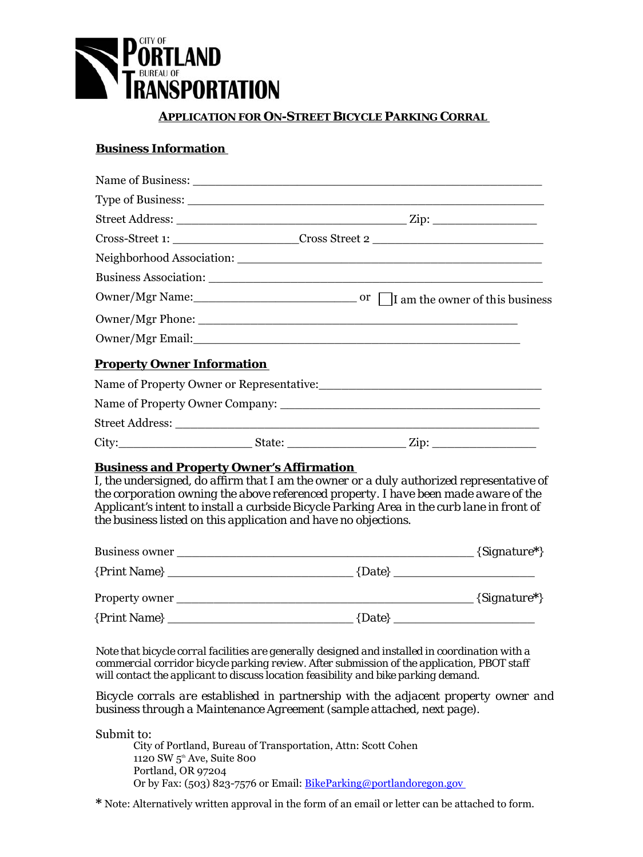

### **APPLICATION FOR ON-STREET BICYCLE PARKING CORRAL**

## **Business Information**

|                                   | Cross-Street 1: _________________________Cross Street 2 _________________________                                                                                                                                                                                                                        |
|-----------------------------------|----------------------------------------------------------------------------------------------------------------------------------------------------------------------------------------------------------------------------------------------------------------------------------------------------------|
|                                   |                                                                                                                                                                                                                                                                                                          |
|                                   |                                                                                                                                                                                                                                                                                                          |
|                                   |                                                                                                                                                                                                                                                                                                          |
|                                   |                                                                                                                                                                                                                                                                                                          |
|                                   |                                                                                                                                                                                                                                                                                                          |
| <b>Property Owner Information</b> |                                                                                                                                                                                                                                                                                                          |
|                                   |                                                                                                                                                                                                                                                                                                          |
|                                   |                                                                                                                                                                                                                                                                                                          |
|                                   |                                                                                                                                                                                                                                                                                                          |
|                                   |                                                                                                                                                                                                                                                                                                          |
|                                   |                                                                                                                                                                                                                                                                                                          |
|                                   | I, the undersigned, do affirm that I am the owner or a duly authorized representative of                                                                                                                                                                                                                 |
|                                   |                                                                                                                                                                                                                                                                                                          |
|                                   |                                                                                                                                                                                                                                                                                                          |
|                                   | <b>Business and Property Owner's Affirmation</b><br>the corporation owning the above referenced property. I have been made aware of the<br>Applicant's intent to install a curbside Bicycle Parking Area in the curb lane in front of<br>the business listed on this application and have no objections. |

| Business owner |          | $\{Signature*\}$ |
|----------------|----------|------------------|
| ${Print Name}$ | ${Date}$ |                  |
| Property owner |          | ${Signature^*}$  |
| ${Print Name}$ | ${Date}$ |                  |

*Note that bicycle corral facilities are generally designed and installed in coordination with a commercial corridor bicycle parking review. After submission of the application, PBOT staff will contact the applicant to discuss location feasibility and bike parking demand.* 

*Bicycle corrals are established in partnership with the adjacent property owner and business through a Maintenance Agreement (sample attached, next page).* 

Submit to:

Or by Fax: (503) 823-7576 or Email: BikeParking@portlandoregon.gov 1120 SW 5<sup>th</sup> Ave, Suite 800 City of Portland, Bureau of Transportation, Attn: Scott Cohen Portland, OR 97204

**\*** Note: Alternatively written approval in the form of an email or letter can be attached to form.